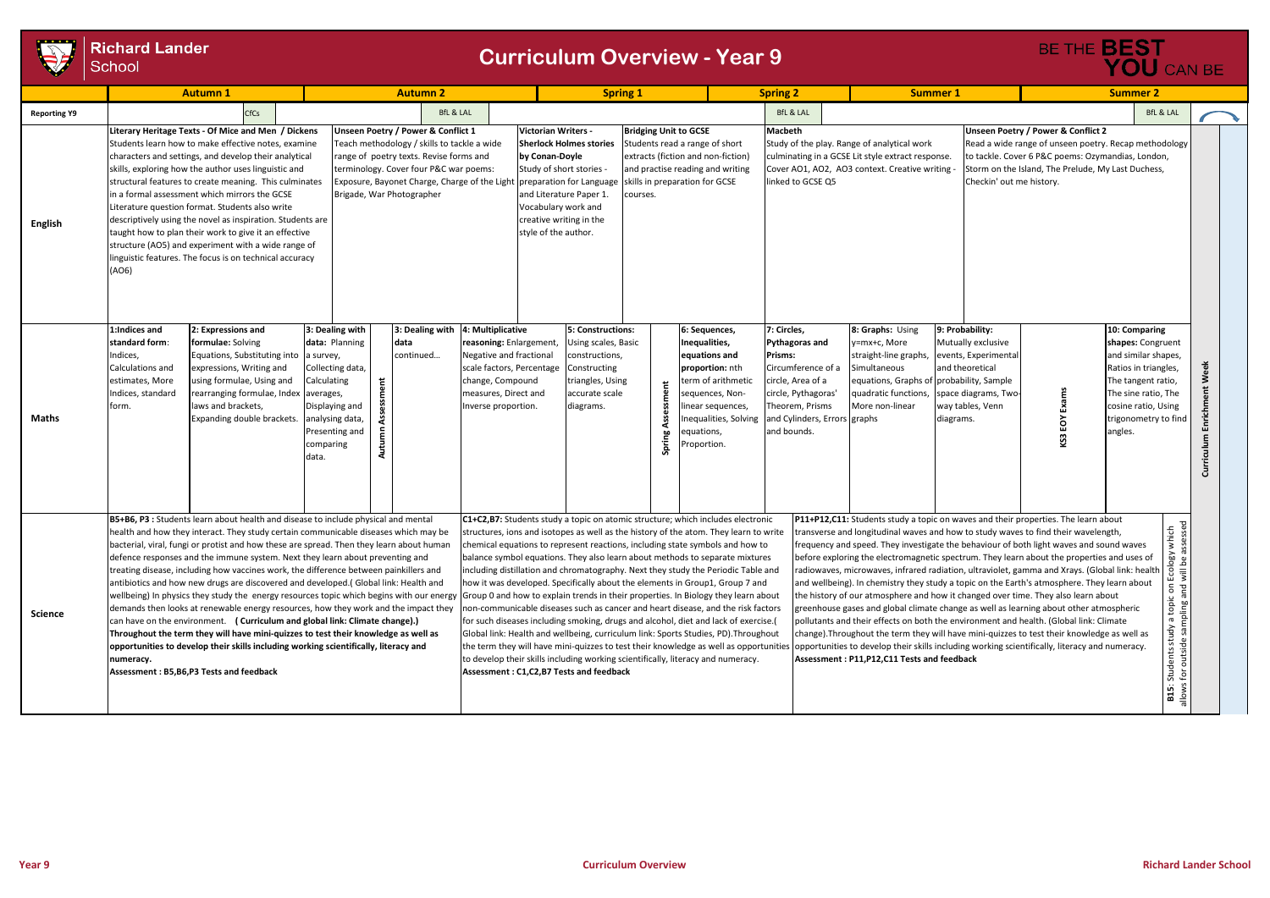

## **Richard Lander** School

|                     |                                                                                                                                                                                                                                                                                                                                                                                                                                                                                                                                                                                                                                                                                                                                                                                                                                                                                                                                                                                                                                                    | <b>Autumn 1</b><br><b>Autumn 2</b>                                                                                                                                                                                                                                                                                                                                                                                                                                                                                                                                                                                                |                                                                                                                                                                             |                                           |                                                                                                                                                                        | <b>Spring 1</b>                                                                                                                                                                                                                                                                                                                                                                                                                                                                                                                                                                                                                                                                                                                                                                                                                                                                                                                                                                                       |                                                                                                                                                                                                                                                                                    |                                          | <b>Spring 2</b> |                                                                                                                                                                                       | <b>Summer 1</b>                                                                                                                                                                                                                                                                                                                                                                                                                                                                                                                                                                                                                                                                                                                                                                                                                                                                                                                                                                                                                                                                                                                                                                                 |                                                                                                                                                                  | <b>Summer 2</b>                                                                                                                           |                                                                                                                                                                                                      |                                                |                                                                                                                                                          |
|---------------------|----------------------------------------------------------------------------------------------------------------------------------------------------------------------------------------------------------------------------------------------------------------------------------------------------------------------------------------------------------------------------------------------------------------------------------------------------------------------------------------------------------------------------------------------------------------------------------------------------------------------------------------------------------------------------------------------------------------------------------------------------------------------------------------------------------------------------------------------------------------------------------------------------------------------------------------------------------------------------------------------------------------------------------------------------|-----------------------------------------------------------------------------------------------------------------------------------------------------------------------------------------------------------------------------------------------------------------------------------------------------------------------------------------------------------------------------------------------------------------------------------------------------------------------------------------------------------------------------------------------------------------------------------------------------------------------------------|-----------------------------------------------------------------------------------------------------------------------------------------------------------------------------|-------------------------------------------|------------------------------------------------------------------------------------------------------------------------------------------------------------------------|-------------------------------------------------------------------------------------------------------------------------------------------------------------------------------------------------------------------------------------------------------------------------------------------------------------------------------------------------------------------------------------------------------------------------------------------------------------------------------------------------------------------------------------------------------------------------------------------------------------------------------------------------------------------------------------------------------------------------------------------------------------------------------------------------------------------------------------------------------------------------------------------------------------------------------------------------------------------------------------------------------|------------------------------------------------------------------------------------------------------------------------------------------------------------------------------------------------------------------------------------------------------------------------------------|------------------------------------------|-----------------|---------------------------------------------------------------------------------------------------------------------------------------------------------------------------------------|-------------------------------------------------------------------------------------------------------------------------------------------------------------------------------------------------------------------------------------------------------------------------------------------------------------------------------------------------------------------------------------------------------------------------------------------------------------------------------------------------------------------------------------------------------------------------------------------------------------------------------------------------------------------------------------------------------------------------------------------------------------------------------------------------------------------------------------------------------------------------------------------------------------------------------------------------------------------------------------------------------------------------------------------------------------------------------------------------------------------------------------------------------------------------------------------------|------------------------------------------------------------------------------------------------------------------------------------------------------------------|-------------------------------------------------------------------------------------------------------------------------------------------|------------------------------------------------------------------------------------------------------------------------------------------------------------------------------------------------------|------------------------------------------------|----------------------------------------------------------------------------------------------------------------------------------------------------------|
| <b>Reporting Y9</b> |                                                                                                                                                                                                                                                                                                                                                                                                                                                                                                                                                                                                                                                                                                                                                                                                                                                                                                                                                                                                                                                    | <b>CfCs</b>                                                                                                                                                                                                                                                                                                                                                                                                                                                                                                                                                                                                                       |                                                                                                                                                                             |                                           | <b>BfL &amp; LAL</b>                                                                                                                                                   |                                                                                                                                                                                                                                                                                                                                                                                                                                                                                                                                                                                                                                                                                                                                                                                                                                                                                                                                                                                                       |                                                                                                                                                                                                                                                                                    |                                          |                 |                                                                                                                                                                                       | <b>BfL &amp; LAL</b>                                                                                                                                                                                                                                                                                                                                                                                                                                                                                                                                                                                                                                                                                                                                                                                                                                                                                                                                                                                                                                                                                                                                                                            |                                                                                                                                                                  |                                                                                                                                           |                                                                                                                                                                                                      |                                                | <b>BfL &amp; LAI</b>                                                                                                                                     |
| <b>English</b>      | (AO6)                                                                                                                                                                                                                                                                                                                                                                                                                                                                                                                                                                                                                                                                                                                                                                                                                                                                                                                                                                                                                                              | Literary Heritage Texts - Of Mice and Men / Dickens<br>Students learn how to make effective notes, examine<br>characters and settings, and develop their analytical<br>skills, exploring how the author uses linguistic and<br>structural features to create meaning. This culminates<br>in a formal assessment which mirrors the GCSE<br>Literature question format. Students also write<br>descriptively using the novel as inspiration. Students are<br>taught how to plan their work to give it an effective<br>structure (AO5) and experiment with a wide range of<br>inguistic features. The focus is on technical accuracy |                                                                                                                                                                             | Brigade, War Photographer                 | Unseen Poetry / Power & Conflict 1<br>Teach methodology / skills to tackle a wide<br>range of poetry texts. Revise forms and<br>terminology. Cover four P&C war poems: |                                                                                                                                                                                                                                                                                                                                                                                                                                                                                                                                                                                                                                                                                                                                                                                                                                                                                                                                                                                                       | Victorian Writers -<br><b>Sherlock Holmes stories</b><br>by Conan-Doyle<br>Study of short stories -<br>Exposure, Bayonet Charge, Charge of the Light preparation for Language<br>and Literature Paper 1.<br>Vocabulary work and<br>creative writing in the<br>style of the author. | <b>Bridging Unit to GCSE</b><br>courses. |                 | Students read a range of short<br>extracts (fiction and non-fiction)<br>and practise reading and writing<br>skills in preparation for GCSE                                            | <b>Macbeth</b><br>linked to GCSE Q5                                                                                                                                                                                                                                                                                                                                                                                                                                                                                                                                                                                                                                                                                                                                                                                                                                                                                                                                                                                                                                                                                                                                                             | Study of the play. Range of analytical work<br>culminating in a GCSE Lit style extract response.<br>Cover AO1, AO2, AO3 context. Creative writing                | Checkin' out me history.                                                                                                                  | Unseen Poetry / Power & Conflict 2<br>Read a wide range of unseen poetry. Recap methodolo<br>to tackle. Cover 6 P&C poems: Ozymandias, London,<br>Storm on the Island, The Prelude, My Last Duchess, |                                                |                                                                                                                                                          |
| Maths               | 1:Indices and<br>standard form:<br>ndices,<br>Calculations and<br>estimates, More<br>Indices, standard<br>form.                                                                                                                                                                                                                                                                                                                                                                                                                                                                                                                                                                                                                                                                                                                                                                                                                                                                                                                                    | 2: Expressions and<br>formulae: Solving<br>Equations, Substituting into<br>expressions, Writing and<br>using formulae, Using and<br>rearranging formulae, Index<br>laws and brackets,<br>Expanding double brackets.                                                                                                                                                                                                                                                                                                                                                                                                               | 3: Dealing with<br>data: Planning<br>a survey,<br>Collecting data,<br>Calculating<br>averages,<br>Displaying and<br>analysing data,<br>Presenting and<br>comparing<br>data. | data<br>continued<br>Assessment<br>Autumn | 3: Dealing with                                                                                                                                                        | 4: Multiplicative<br>reasoning: Enlargement,<br>Negative and fractional<br>scale factors, Percentage<br>change, Compound<br>measures, Direct and<br>Inverse proportion.                                                                                                                                                                                                                                                                                                                                                                                                                                                                                                                                                                                                                                                                                                                                                                                                                               | 5: Constructions:<br>Using scales, Basic<br>constructions,<br>Constructing<br>triangles, Using<br>accurate scale<br>diagrams.                                                                                                                                                      |                                          | Spring          | 6: Sequences,<br>Inequalities,<br>equations and<br>proportion: nth<br>term of arithmetic<br>sequences, Non-<br>linear sequences,<br>nequalities, Solving<br>equations,<br>Proportion. | 7: Circles,<br><b>Pythagoras and</b><br>Prisms:<br>Circumference of a<br>circle, Area of a<br>circle, Pythagoras'<br>Theorem, Prisms<br>and Cylinders, Errors graphs<br>and bounds.                                                                                                                                                                                                                                                                                                                                                                                                                                                                                                                                                                                                                                                                                                                                                                                                                                                                                                                                                                                                             | 8: Graphs: Using<br>y=mx+c, More<br>straight-line graphs,<br>Simultaneous<br>equations, Graphs of probability, Sample<br>quadratic functions,<br>More non-linear | 9: Probability:<br>Mutually exclusive<br>events, Experimental<br>and theoretical<br>space diagrams, Two-<br>way tables, Venn<br>diagrams. | suuex:                                                                                                                                                                                               | 10: Comparing<br>angles.                       | shapes: Congruen<br>and similar shapes<br>Ratios in triangles,<br>The tangent ratio,<br>The sine ratio, The<br>cosine ratio, Using<br>trigonometry to fi |
| <b>Science</b>      | B5+B6, P3 : Students learn about health and disease to include physical and mental<br>health and how they interact. They study certain communicable diseases which may be<br>bacterial, viral, fungi or protist and how these are spread. Then they learn about human<br>defence responses and the immune system. Next they learn about preventing and<br>treating disease, including how vaccines work, the difference between painkillers and<br>antibiotics and how new drugs are discovered and developed. (Global link: Health and<br>wellbeing) In physics they study the energy resources topic which begins with our energy<br>demands then looks at renewable energy resources, how they work and the impact they<br>can have on the environment. ( Curriculum and global link: Climate change).)<br>Throughout the term they will have mini-quizzes to test their knowledge as well as<br>opportunities to develop their skills including working scientifically, literacy and<br>numeracy.<br>Assessment: B5, B6, P3 Tests and feedback |                                                                                                                                                                                                                                                                                                                                                                                                                                                                                                                                                                                                                                   |                                                                                                                                                                             |                                           |                                                                                                                                                                        | C1+C2,B7: Students study a topic on atomic structure; which includes electronic<br>structures, ions and isotopes as well as the history of the atom. They learn to write<br>chemical equations to represent reactions, including state symbols and how to<br>balance symbol equations. They also learn about methods to separate mixtures<br>including distillation and chromatography. Next they study the Periodic Table and<br>how it was developed. Specifically about the elements in Group1, Group 7 and<br>Group 0 and how to explain trends in their properties. In Biology they learn about<br>non-communicable diseases such as cancer and heart disease, and the risk factors<br>for such diseases including smoking, drugs and alcohol, diet and lack of exercise.(<br>Global link: Health and wellbeing, curriculum link: Sports Studies, PD). Throughout<br>to develop their skills including working scientifically, literacy and numeracy.<br>Assessment: C1,C2,B7 Tests and feedback |                                                                                                                                                                                                                                                                                    |                                          |                 |                                                                                                                                                                                       | P11+P12,C11: Students study a topic on waves and their properties. The learn about<br>transverse and longitudinal waves and how to study waves to find their wavelength,<br>frequency and speed. They investigate the behaviour of both light waves and sound waves<br>before exploring the electromagnetic spectrum. They learn about the properties and uses of<br>radiowaves, microwaves, infrared radiation, ultraviolet, gamma and Xrays. (Global link: health $\sqrt{5}$<br>and wellbeing). In chemistry they study a topic on the Earth's atmosphere. They learn about<br>the history of our atmosphere and how it changed over time. They also learn about<br>greenhouse gases and global climate change as well as learning about other atmospheric<br>pollutants and their effects on both the environment and health. (Global link: Climate<br>change). Throughout the term they will have mini-quizzes to test their knowledge as well as<br>the term they will have mini-quizzes to test their knowledge as well as opportunities   opportunities to develop their skills including working scientifically, literacy and numeracy.<br>Assessment: P11, P12, C11 Tests and feedback |                                                                                                                                                                  |                                                                                                                                           |                                                                                                                                                                                                      | which<br>iapi<br>g<br>Studer<br>$\overline{5}$ |                                                                                                                                                          |

## BE THE **BEST**<br>**YOU** CAN BE **Unseen Poetry / Power & Conflict 2**  Read a wide range of unseen poetry. Recap methodology to tackle. Cover 6 P&C poems: Ozymandias, London, Storm on the Island, The Prelude, My Last Duchess, Checkin' out me history. **10: Comparing 9: Probability:**  ally exclusive **shapes:** Congruent ts, Experimental and similar shapes, Ratios in triangles, Enrichment Week **Curriculum Enrichment Week** heoretical bility, Sample The tangent ratio, diagrams, Two KS3 EOY Exams The sine ratio, The **KS3 EOY Exams** cosine ratio, Using ables, Venn trigonometry to find ams. angles. **Curriculum**

raves and their properties. The learn about ic on Ecology which<br>and will be assessed allows for outside sampling and will be assessed **B15**: Students study a topic on Ecology which w to study waves to find their wavelength, frequency both light waves and sound waves trum. They learn about the properties and uses of n, ultraviolet, gamma and Xrays. (Global link: health opic on the Earth's atmosphere. They learn about changed over time. They also learn about **B15**: Students study a topic<br>allows for outside sampling a ge as well as learning about other atmospheric wironment and health. (Global link: Climate ve mini-quizzes to test their knowledge as well as ing working scientifically, literacy and numeracy.

## **Curriculum Overview - Year 9**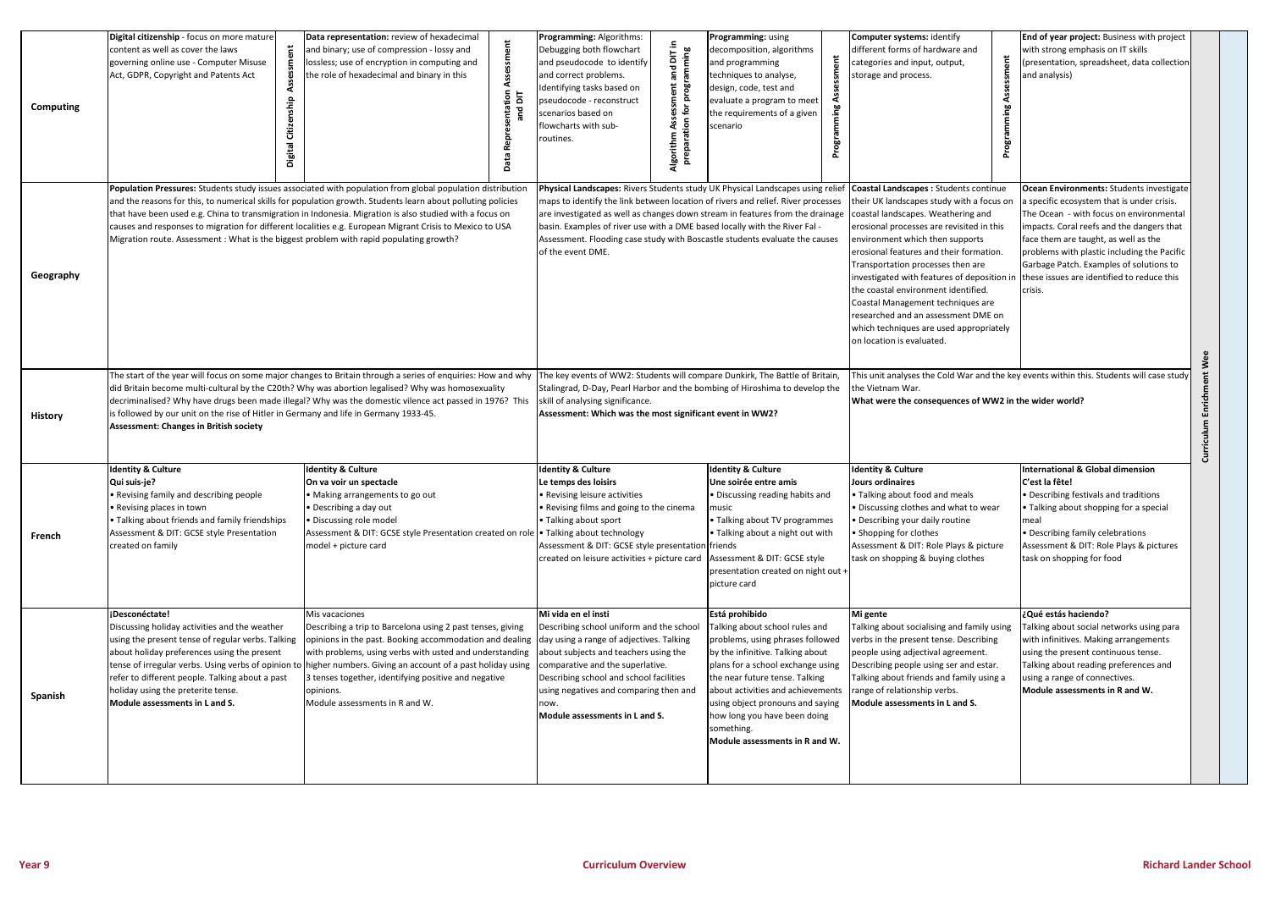| <b>Computing</b> | Digital citizenship - focus on more mature<br>sessment<br>content as well as cover the laws<br>governing online use - Computer Misuse<br>Act, GDPR, Copyright and Patents Act<br>Citizenship<br>Digital                                                                                                                                               | Data representation: review of hexadecimal<br>and binary; use of compression - lossy and<br>lossless; use of encryption in computing and<br>he role of hexadecimal and binary in this<br>Rep<br>Bata                                                                                                                                                                                                                                               | Programming: Algorithms:<br>and DIT in<br>Debugging both flowchart<br>eparation for programming<br>and pseudocode to identify<br>and correct problems.<br>essment<br>dentifying tasks based on<br>pseudocode - reconstruct<br>cenarios based on<br>Ass<br>flowcharts with sub-<br>Algorithm<br>routines.                                                                                                                                                                                                                          | Programming: using<br>decomposition, algorithms<br>and programming<br>techniques to analyse,<br>design, code, test and<br>evaluate a program to meet<br>the requirements of a given<br>cenario<br>Program                                                                                                                                                | <b>Computer systems: identify</b><br>different forms of hardware and<br>categories and input, output,<br>storage and process.<br>Programming                                                                                                                                                                                                                                                                                                                                                                                       | <b>End of year project:</b> Business with project<br>with strong emphasis on IT skills<br>(presentation, spreadsheet, data collection<br>and analysis)                                                                                                                                                                                                                           |  |  |
|------------------|-------------------------------------------------------------------------------------------------------------------------------------------------------------------------------------------------------------------------------------------------------------------------------------------------------------------------------------------------------|----------------------------------------------------------------------------------------------------------------------------------------------------------------------------------------------------------------------------------------------------------------------------------------------------------------------------------------------------------------------------------------------------------------------------------------------------|-----------------------------------------------------------------------------------------------------------------------------------------------------------------------------------------------------------------------------------------------------------------------------------------------------------------------------------------------------------------------------------------------------------------------------------------------------------------------------------------------------------------------------------|----------------------------------------------------------------------------------------------------------------------------------------------------------------------------------------------------------------------------------------------------------------------------------------------------------------------------------------------------------|------------------------------------------------------------------------------------------------------------------------------------------------------------------------------------------------------------------------------------------------------------------------------------------------------------------------------------------------------------------------------------------------------------------------------------------------------------------------------------------------------------------------------------|----------------------------------------------------------------------------------------------------------------------------------------------------------------------------------------------------------------------------------------------------------------------------------------------------------------------------------------------------------------------------------|--|--|
| Geography        | Migration route. Assessment: What is the biggest problem with rapid populating growth?                                                                                                                                                                                                                                                                | Population Pressures: Students study issues associated with population from global population distribution<br>and the reasons for this, to numerical skills for population growth. Students learn about polluting policies<br>that have been used e.g. China to transmigration in Indonesia. Migration is also studied with a focus on<br>causes and responses to migration for different localities e.g. European Migrant Crisis to Mexico to USA | Physical Landscapes: Rivers Students study UK Physical Landscapes using relief<br>maps to identify the link between location of rivers and relief. River processes<br>are investigated as well as changes down stream in features from the drainage<br>basin. Examples of river use with a DME based locally with the River Fal -<br>Assessment. Flooding case study with Boscastle students evaluate the causes<br>of the event DME.                                                                                             |                                                                                                                                                                                                                                                                                                                                                          | Coastal Landscapes : Students continue<br>their UK landscapes study with a focus on<br>coastal landscapes. Weathering and<br>erosional processes are revisited in this<br>environment which then supports<br>erosional features and their formation.<br>Transportation processes then are<br>investigated with features of deposition i<br>the coastal environment identified.<br>Coastal Management techniques are<br>researched and an assessment DME on<br>which techniques are used appropriately<br>on location is evaluated. | Ocean Environments: Students investigate<br>a specific ecosystem that is under crisis.<br>The Ocean - with focus on environmental<br>impacts. Coral reefs and the dangers that<br>face them are taught, as well as the<br>problems with plastic including the Pacific<br>Garbage Patch. Examples of solutions to<br>these issues are identified to reduce this<br>crisis.<br>Wee |  |  |
| <b>History</b>   | is followed by our unit on the rise of Hitler in Germany and life in Germany 1933-45.<br><b>Assessment: Changes in British society</b>                                                                                                                                                                                                                | The start of the year will focus on some major changes to Britain through a series of enquiries: How and why<br>did Britain become multi-cultural by the C20th? Why was abortion legalised? Why was homosexuality<br>decriminalised? Why have drugs been made illegal? Why was the domestic vilence act passed in 1976? This                                                                                                                       | The key events of WW2: Students will compare Dunkirk, The Battle of Britain,<br>Stalingrad, D-Day, Pearl Harbor and the bombing of Hiroshima to develop the<br>skill of analysing significance.<br>Assessment: Which was the most significant event in WW2?                                                                                                                                                                                                                                                                       |                                                                                                                                                                                                                                                                                                                                                          | This unit analyses the Cold War and the key events within this. Students will case study<br>Enrichment<br>the Vietnam War.<br>What were the consequences of WW2 in the wider world?                                                                                                                                                                                                                                                                                                                                                |                                                                                                                                                                                                                                                                                                                                                                                  |  |  |
| French           | <b>Identity &amp; Culture</b><br>Qui suis-je?<br>• Revising family and describing people<br>• Revising places in town<br>• Talking about friends and family friendships<br>Assessment & DIT: GCSE style Presentation<br>created on family                                                                                                             | <b>Identity &amp; Culture</b><br>On va voir un spectacle<br>• Making arrangements to go out<br>• Describing a day out<br>Discussing role model<br>Assessment & DIT: GCSE style Presentation created on role • Talking about technology<br>model + picture card                                                                                                                                                                                     | <b>Identity &amp; Culture</b><br><b>Identity &amp; Culture</b><br>Une soirée entre amis<br>Le temps des loisirs<br>• Discussing reading habits and<br>• Revising leisure activities<br>. Revising films and going to the cinema<br>music<br>• Talking about TV programmes<br>• Talking about sport<br>• Talking about a night out with<br>Assessment & DIT: GCSE style presentation friends<br>created on leisure activities + picture card   Assessment & DIT: GCSE style<br>presentation created on night out +<br>picture card |                                                                                                                                                                                                                                                                                                                                                          | <b>Identity &amp; Culture</b><br><b>Jours ordinaires</b><br>• Talking about food and meals<br>· Discussing clothes and what to wear<br>· Describing your daily routine<br>• Shopping for clothes<br>Assessment & DIT: Role Plays & picture<br>task on shopping & buying clothes                                                                                                                                                                                                                                                    | <b>International &amp; Global dimension</b><br>C'est la fête!<br>• Describing festivals and traditions<br>• Talking about shopping for a special<br>meal<br>• Describing family celebrations<br>Assessment & DIT: Role Plays & pictures<br>task on shopping for food                                                                                                             |  |  |
| Spanish          | ¡Desconéctate!<br>Discussing holiday activities and the weather<br>using the present tense of regular verbs. Talking<br>about holiday preferences using the present<br>tense of irregular verbs. Using verbs of opinion to<br>refer to different people. Talking about a past<br>holiday using the preterite tense.<br>Module assessments in L and S. | Mis vacaciones<br>Describing a trip to Barcelona using 2 past tenses, giving<br>opinions in the past. Booking accommodation and dealing day using a range of adjectives. Talking<br>with problems, using verbs with usted and understanding<br>higher numbers. Giving an account of a past holiday using<br>3 tenses together, identifying positive and negative<br>opinions.<br>Module assessments in R and W.                                    | Mi vida en el insti<br>Describing school uniform and the school<br>about subjects and teachers using the<br>comparative and the superlative.<br>Describing school and school facilities<br>using negatives and comparing then and<br>now.<br>Module assessments in L and S.                                                                                                                                                                                                                                                       | Está prohibido<br>Talking about school rules and<br>problems, using phrases followed<br>by the infinitive. Talking about<br>plans for a school exchange using<br>the near future tense. Talking<br>about activities and achievements<br>using object pronouns and saying<br>how long you have been doing<br>something.<br>Module assessments in R and W. | Mi gente<br>Talking about socialising and family using<br>verbs in the present tense. Describing<br>people using adjectival agreement.<br>Describing people using ser and estar.<br>Talking about friends and family using a<br>range of relationship verbs.<br>Module assessments in L and S.                                                                                                                                                                                                                                     | ¿Qué estás haciendo?<br>Talking about social networks using para<br>with infinitives. Making arrangements<br>using the present continuous tense.<br>Talking about reading preferences and<br>using a range of connectives.<br>Module assessments in R and W.                                                                                                                     |  |  |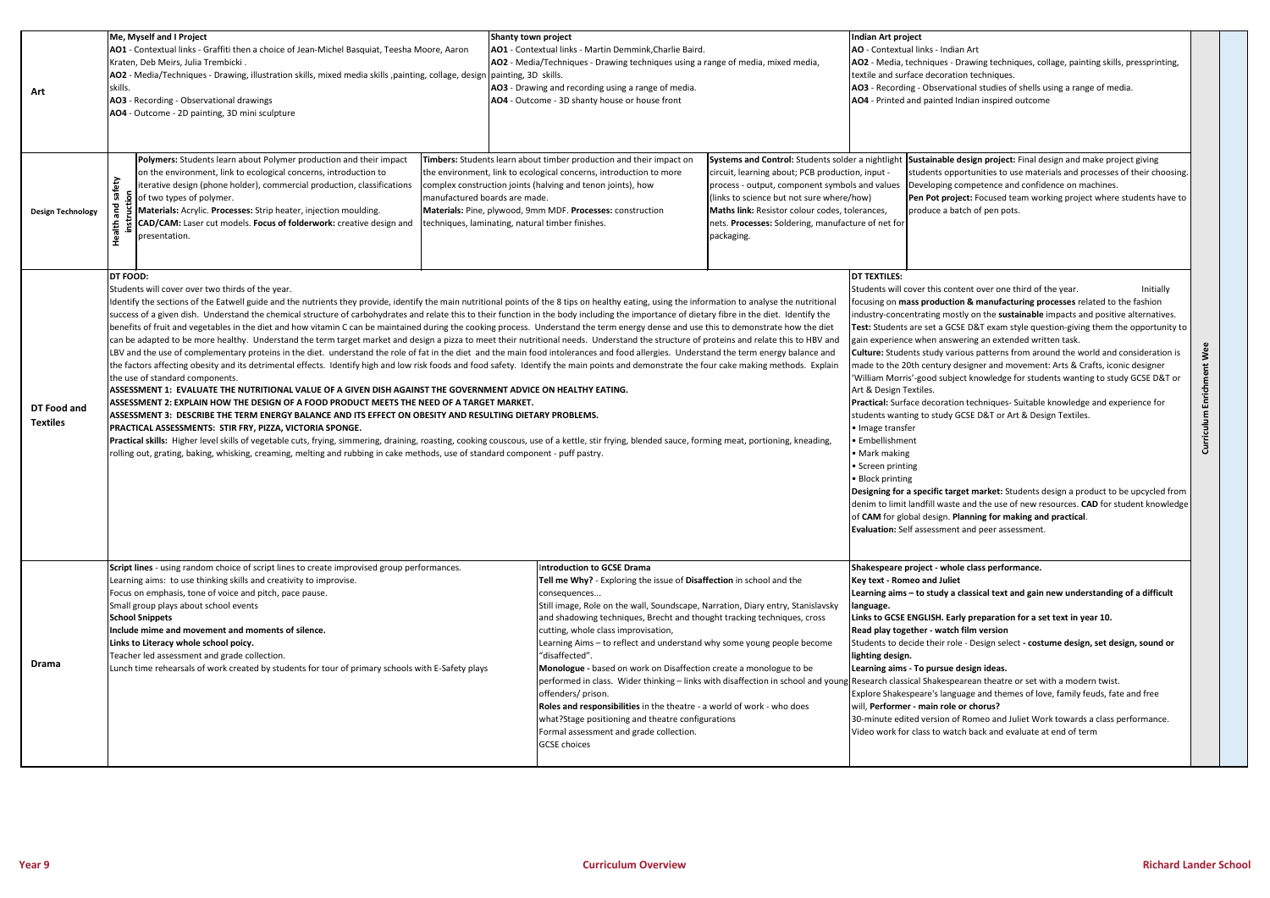| Art                            | Me, Myself and I Project<br>AO1 - Contextual links - Graffiti then a choice of Jean-Michel Basquiat, Teesha Moore, Aaron<br>Kraten, Deb Meirs, Julia Trembicki.<br>AO2 - Media/Techniques - Drawing, illustration skills, mixed media skills, painting, collage, design<br>skills.<br>AO3 - Recording - Observational drawings<br>AO4 - Outcome - 2D painting, 3D mini sculpture                                                                                                                                                                                                                                                                                                                                                                                                                                                                                                                                                                                                                                                                                                                                                                                                                                                                                                                                                                                                                                                                                                                                                                                                                                                                                                                                                                                                                                                                                                                                                                                                                                      | Shanty town project<br>AO1 - Contextual links - Martin Demmink, Charlie Baird.<br>AO2 - Media/Techniques - Drawing techniques using a range of media, mixed media,<br>painting, 3D skills.<br>AO3 - Drawing and recording using a range of media.<br>AO4 - Outcome - 3D shanty house or house front<br>Timbers: Students learn about timber production and their impact on                                                                                                                                                                                                                                                                                                                                                                                                                                                                                                                                                                                                                                                                                                                                                                                                                                                                                                                                       |                                                                                                                                                                                                                                                                                                           | Indian Art project<br>AO - Contextual links - Indian Art<br>AO2 - Media, techniques - Drawing techniques, collage, painting skills, pressprinting,<br>textile and surface decoration techniques.<br>AO3 - Recording - Observational studies of shells using a range of media.<br>AO4 - Printed and painted Indian inspired outcome                                                                                                                                                                                                                                                                                                                                                                                                                                                                                 |  |  |  |  |
|--------------------------------|-----------------------------------------------------------------------------------------------------------------------------------------------------------------------------------------------------------------------------------------------------------------------------------------------------------------------------------------------------------------------------------------------------------------------------------------------------------------------------------------------------------------------------------------------------------------------------------------------------------------------------------------------------------------------------------------------------------------------------------------------------------------------------------------------------------------------------------------------------------------------------------------------------------------------------------------------------------------------------------------------------------------------------------------------------------------------------------------------------------------------------------------------------------------------------------------------------------------------------------------------------------------------------------------------------------------------------------------------------------------------------------------------------------------------------------------------------------------------------------------------------------------------------------------------------------------------------------------------------------------------------------------------------------------------------------------------------------------------------------------------------------------------------------------------------------------------------------------------------------------------------------------------------------------------------------------------------------------------------------------------------------------------|------------------------------------------------------------------------------------------------------------------------------------------------------------------------------------------------------------------------------------------------------------------------------------------------------------------------------------------------------------------------------------------------------------------------------------------------------------------------------------------------------------------------------------------------------------------------------------------------------------------------------------------------------------------------------------------------------------------------------------------------------------------------------------------------------------------------------------------------------------------------------------------------------------------------------------------------------------------------------------------------------------------------------------------------------------------------------------------------------------------------------------------------------------------------------------------------------------------------------------------------------------------------------------------------------------------|-----------------------------------------------------------------------------------------------------------------------------------------------------------------------------------------------------------------------------------------------------------------------------------------------------------|--------------------------------------------------------------------------------------------------------------------------------------------------------------------------------------------------------------------------------------------------------------------------------------------------------------------------------------------------------------------------------------------------------------------------------------------------------------------------------------------------------------------------------------------------------------------------------------------------------------------------------------------------------------------------------------------------------------------------------------------------------------------------------------------------------------------|--|--|--|--|
| <b>Design Technology</b>       | Polymers: Students learn about Polymer production and their impact<br>on the environment, link to ecological concerns, introduction to<br>the environment, link to ecological concerns, introduction to more<br>iterative design (phone holder), commercial production, classifications<br>complex construction joints (halving and tenon joints), how<br><b>5</b> of two types of polymer.<br>manufactured boards are made.<br>Materials: Acrylic. Processes: Strip heater, injection moulding.<br>Materials: Pine, plywood, 9mm MDF. Processes: construction<br>CAD/CAM: Laser cut models. Focus of folderwork: creative design and<br>techniques, laminating, natural timber finishes.<br>presentation.                                                                                                                                                                                                                                                                                                                                                                                                                                                                                                                                                                                                                                                                                                                                                                                                                                                                                                                                                                                                                                                                                                                                                                                                                                                                                                            | Systems and Control: Students solder a nightlight<br>circuit, learning about; PCB production, input -<br>process - output, component symbols and values<br>(links to science but not sure where/how)<br>Maths link: Resistor colour codes, tolerances,<br>nets. Processes: Soldering, manufacture of net for<br>packaging.                                                                                                                                                                                                                                                                                                                                                                                                                                                                                                                                                                                                                                                                                                                                                                                                                                                                                                                                                                                       | Sustainable design project: Final design and make project giving<br>students opportunities to use materials and processes of their choosing.<br>Developing competence and confidence on machines.<br>Pen Pot project: Focused team working project where students have to<br>produce a batch of pen pots. |                                                                                                                                                                                                                                                                                                                                                                                                                                                                                                                                                                                                                                                                                                                                                                                                                    |  |  |  |  |
| DT Food and<br><b>Textiles</b> | DT FOOD:<br>Students will cover over two thirds of the year.<br>Identify the sections of the Eatwell guide and the nutrients they provide, identify the main nutritional points of the 8 tips on healthy eating, using the information to analyse the nutritional<br>success of a given dish. Understand the chemical structure of carbohydrates and relate this to their function in the body including the importance of dietary fibre in the diet. Identify the<br>benefits of fruit and vegetables in the diet and how vitamin C can be maintained during the cooking process. Understand the term energy dense and use this to demonstrate how the diet<br>can be adapted to be more healthy. Understand the term target market and design a pizza to meet their nutritional needs. Understand the structure of proteins and relate this to HBV and<br>LBV and the use of complementary proteins in the diet. understand the role of fat in the diet and the main food intolerances and food allergies. Understand the term energy balance and<br>the factors affecting obesity and its detrimental effects. Identify high and low risk foods and food safety. Identify the main points and demonstrate the four cake making methods. Explain<br>the use of standard components.<br>ASSESSMENT 1:  EVALUATE THE NUTRITIONAL VALUE OF A GIVEN DISH AGAINST THE GOVERNMENT ADVICE ON HEALTHY EATING.<br>ASSESSMENT 2: EXPLAIN HOW THE DESIGN OF A FOOD PRODUCT MEETS THE NEED OF A TARGET MARKET.<br>ASSESSMENT 3: DESCRIBE THE TERM ENERGY BALANCE AND ITS EFFECT ON OBESITY AND RESULTING DIETARY PROBLEMS.<br>PRACTICAL ASSESSMENTS: STIR FRY, PIZZA, VICTORIA SPONGE.<br>Practical skills: Higher level skills of vegetable cuts, frying, simmering, draining, roasting, cooking couscous, use of a kettle, stir frying, blended sauce, forming meat, portioning, kneading,<br>rolling out, grating, baking, whisking, creaming, melting and rubbing in cake methods, use of standard component - puff pastry. | <b>DT TEXTILES:</b><br>Students will cover this content over one third of the year.<br>Initially<br>focusing on mass production & manufacturing processes related to the fashion<br>industry-concentrating mostly on the sustainable impacts and positive alternatives.<br>Test: Students are set a GCSE D&T exam style question-giving them the opportunity to<br>gain experience when answering an extended written task.<br>Wee<br>Culture: Students study various patterns from around the world and consideration is<br>made to the 20th century designer and movement: Arts & Crafts, iconic designer<br>Enrichment<br>'William Morris'-good subject knowledge for students wanting to study GCSE D&T or<br>Art & Design Textiles.<br>Practical: Surface decoration techniques- Suitable knowledge and experience for<br>Curriculum<br>students wanting to study GCSE D&T or Art & Design Textiles.<br>• Image transfer<br>• Embellishment<br>• Mark making<br>• Screen printing<br>• Block printing<br>Designing for a specific target market: Students design a product to be upcycled from<br>denim to limit landfill waste and the use of new resources. CAD for student knowledge<br>of CAM for global design. Planning for making and practical.<br>Evaluation: Self assessment and peer assessment. |                                                                                                                                                                                                                                                                                                           |                                                                                                                                                                                                                                                                                                                                                                                                                                                                                                                                                                                                                                                                                                                                                                                                                    |  |  |  |  |
| Drama                          | Script lines - using random choice of script lines to create improvised group performances.<br>Learning aims: to use thinking skills and creativity to improvise.<br>Focus on emphasis, tone of voice and pitch, pace pause.<br>Small group plays about school events<br><b>School Snippets</b><br>Include mime and movement and moments of silence.<br>Links to Literacy whole school poicy.<br>Teacher led assessment and grade collection.<br>Lunch time rehearsals of work created by students for tour of primary schools with E-Safety plays                                                                                                                                                                                                                                                                                                                                                                                                                                                                                                                                                                                                                                                                                                                                                                                                                                                                                                                                                                                                                                                                                                                                                                                                                                                                                                                                                                                                                                                                    | <b>Introduction to GCSE Drama</b><br>Tell me Why? - Exploring the issue of Disaffection in school and the<br>consequences<br>Still image, Role on the wall, Soundscape, Narration, Diary entry, Stanislavsky<br>and shadowing techniques, Brecht and thought tracking techniques, cross<br>cutting, whole class improvisation,<br>Learning Aims - to reflect and understand why some young people become<br>"disaffected".<br>Monologue - based on work on Disaffection create a monologue to be<br>performed in class. Wider thinking - links with disaffection in school and youn<br>offenders/prison.<br>Roles and responsibilities in the theatre - a world of work - who does<br>what?Stage positioning and theatre configurations<br>Formal assessment and grade collection.<br><b>GCSE</b> choices                                                                                                                                                                                                                                                                                                                                                                                                                                                                                                        |                                                                                                                                                                                                                                                                                                           | Shakespeare project - whole class performance.<br>Key text - Romeo and Juliet<br>Learning aims - to study a classical text and gain new understanding of a difficult<br>language.<br>Links to GCSE ENGLISH. Early preparation for a set text in year 10.<br>Read play together - watch film version<br>Students to decide their role - Design select - costume design, set design, sound or<br>lighting design.<br>Learning aims - To pursue design ideas.<br>Research classical Shakespearean theatre or set with a modern twist.<br>Explore Shakespeare's language and themes of love, family feuds, fate and free<br>will, Performer - main role or chorus?<br>30-minute edited version of Romeo and Juliet Work towards a class performance.<br>Video work for class to watch back and evaluate at end of term |  |  |  |  |